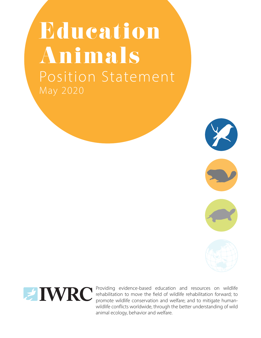# Education Animals Position Statement May 2020







Providing evidence-based education and resources on wildlife rehabilitation to move the field of wildlife rehabilitation forward; to promote wildlife conservation and welfare; and to mitigate humanwildlife conflicts worldwide, through the better understanding of wild animal ecology, behavior and welfare.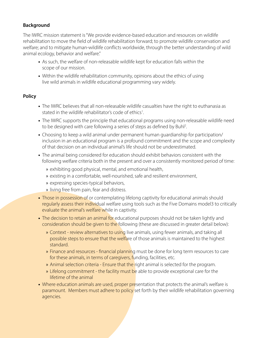# **Background**

The IWRC mission statement is "We provide evidence-based education and resources on wildlife rehabilitation to move the field of wildlife rehabilitation forward; to promote wildlife conservation and welfare; and to mitigate human-wildlife conflicts worldwide, through the better understanding of wild animal ecology, behavior and welfare."

- **•** As such, the welfare of non-releasable wildlife kept for education falls within the scope of our mission.
- **•** Within the wildlife rehabilitation community, opinions about the ethics of using live wild animals in wildlife educational programming vary widely.

## **Policy**

- **•** The IWRC believes that all non-releasable wildlife casualties have the right to euthanasia as stated in the wildlife rehabilitator's code of ethics<sup>1</sup>. .
- **•** The IWRC supports the principle that educational programs using non-releasable wildlife need to be designed with care following a series of steps as defined by Buhl<sup>2</sup>. .
- **•** Choosing to keep a wild animal under permanent human guardianship for participation/ inclusion in an educational program is a profound commitment and the scope and complexity of that decision on an individual animal's life should not be underestimated.
- **•** The animal being considered for education should exhibit behaviors consistent with the following welfare criteria both in the present and over a consistently monitored period of time:
	- » exhibiting good physical, mental, and emotional health,
	- » existing in a comfortable, well-nourished, safe and resilient environment,
	- » expressing species-typical behaviors,
	- » living free from pain, fear and distress.
- Those in possession of or contemplating lifelong captivity for educational animals should regularly assess their individual welfare using tools such as the Five Domains model3 to critically evaluate the animal's welfare while in captivity.
- The decision to retain an animal for educational purposes should not be taken lightly and consideration should be given to the following (these are discussed in greater detail below):
	- » Context review alternatives to using live animals, using fewer animals, and taking all possible steps to ensure that the welfare of those animals is maintained to the highest standard.
	- » Finance and resources financial planning must be done for long term resources to care for these animals, in terms of caregivers, funding, facilities, etc.
	- » Animal selection criteria Ensure that the right animal is selected for the program.
	- » Lifelong commitment the facility must be able to provide exceptional care for the lifetime of the animal
- Where education animals are used, proper presentation that protects the animal's welfare is paramount. Members must adhere to policy set forth by their wildlife rehabilitation governing agencies.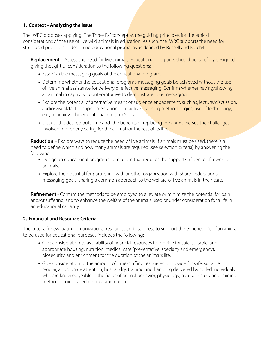## **1. Context - Analyzing the Issue**

The IWRC proposes applying "The Three Rs" concept as the quiding principles for the ethical considerations of the use of live wild animals in education. As such, the IWRC supports the need for structured protocols in designing educational programs as defined by Russell and Burch4.

**Replacement** – Assess the need for live animals. Educational programs should be carefully designed giving thoughtful consideration to the following questions:

- Establish the messaging goals of the educational program.
- Determine whether the educational program's messaging goals be achieved without the use of live animal assistance for delivery of effective messaging. Confirm whether having/showing an animal in captivity counter-intuitive to demonstrate core messaging.
- Explore the potential of alternative means of audience engagement, such as; lecture/discussion, audio/visual/tactile supplementation, interactive teaching methodologies, use of technology, etc., to achieve the educational program's goals.
- Discuss the desired outcome and the benefits of replacing the animal versus the challenges involved in properly caring for the animal for the rest of its life.

**Reduction** – Explore ways to reduce the need of live animals. If animals must be used, there is a need to define which and how many animals are required (see selection criteria) by answering the following:

- **•** Design an educational program's curriculum that requires the support/influence of fewer live animals.
- **•** Explore the potential for partnering with another organization with shared educational messaging goals, sharing a common approach to the welfare of live animals in their care.

**Refinement** - Confirm the methods to be employed to alleviate or minimize the potential for pain and/or suffering, and to enhance the welfare of the animals used or under consideration for a life in an educational capacity.

## **2. Financial and Resource Criteria**

The criteria for evaluating organizational resources and readiness to support the enriched life of an animal to be used for educational purposes includes the following:

- **•** Give consideration to availability of financial resources to provide for safe, suitable, and appropriate housing, nutrition, medical care (preventative, specialty and emergency), biosecurity, and enrichment for the duration of the animal's life.
- **•** Give consideration to the amount of time/staffing resources to provide for safe, suitable, regular, appropriate attention, husbandry, training and handling delivered by skilled individuals who are knowledgeable in the fields of animal behavior, physiology, natural history and training methodologies based on trust and choice.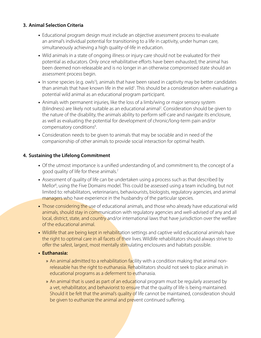#### **3. Animal Selection Criteria**

- **•** Educational program design must include an objective assessment process to evaluate an animal's individual potential for transitioning to a life in captivity, under human care, simultaneously achieving a high quality-of-life in education.
- **•** Wild animals in a state of ongoing illness or injury care should not be evaluated for their potential as educators. Only once rehabilitative efforts have been exhausted, the animal has been deemed non-releasable and is no longer in an otherwise compromised state should an assessment process begin.
- In some species (e.g. owls<sup>5</sup>), animals that have been raised in captivity may be better candidates than animals that have known life in the wild<sup>1</sup>. This should be a consideration when evaluating a potential wild animal as an educational program participant.
- **•** Animals with permanent injuries, like the loss of a limb/wing or major sensory system (blindness) are likely not suitable as an educational animal<sup>2</sup>. Consideration should be given to the nature of the disability, the animals ability to perform self-care and navigate its enclosure, as well as evaluating the potential for development of chronic/long-term pain and/or compensatory conditions<sup>6</sup>.
- **•** Consideration needs to be given to animals that may be sociable and in need of the companionship of other animals to provide social interaction for optimal health.

## **4. Sustaining the Lifelong Commitment**

- **•** Of the utmost importance is a unified understanding of, and commitment to, the concept of a good quality of life for these animals.<sup>7</sup>
- Assessment of quality of life can be undertaken using a process such as that described by Mellor<sup>8</sup>, using the Five Domains model. This could be assessed using a team including, but not limited to: rehabilitators, veterinarians, behaviourists, biologists, regulatory agencies, and animal managers who have experience in the husbandry of the particular species.
- Those considering the use of educational animals, and those who already have educational wild animals, should stay in communication with regulatory agencies and well-advised of any and all local, district, state, and country and/or international laws that have jurisdiction over the welfare of the educational animal.
- Wildlife that are being kept in rehabilitation settings and captive wild educational animals have the right to optimal care in all facets of their lives. Wildlife rehabilitators should always strive to offer the safest, largest, most mentally stimulating enclosures and habitats possible.

#### **• Euthanasia:**

- » An animal admitted to a rehabilitation facility with a condition making that animal nonreleasable has the right to euthanasia. Rehabilitators should not seek to place animals in educational programs as a deferment to euthanasia.
- » An animal that is used as part of an educational program must be regularly assessed by a vet, rehabilitator, and behaviorist to ensure that the quality of life is being maintained. Should it be felt that the animal's quality of life cannot be maintained, consideration should be given to euthanize the animal and prevent continued suffering.